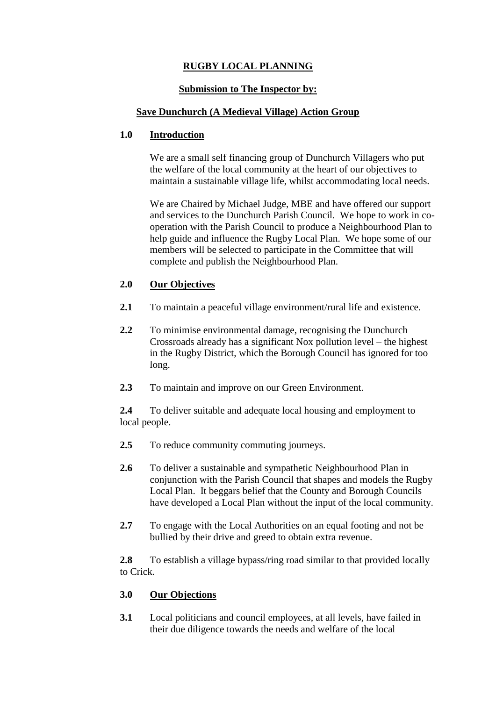# **RUGBY LOCAL PLANNING**

## **Submission to The Inspector by:**

## **Save Dunchurch (A Medieval Village) Action Group**

## **1.0 Introduction**

We are a small self financing group of Dunchurch Villagers who put the welfare of the local community at the heart of our objectives to maintain a sustainable village life, whilst accommodating local needs.

We are Chaired by Michael Judge, MBE and have offered our support and services to the Dunchurch Parish Council. We hope to work in cooperation with the Parish Council to produce a Neighbourhood Plan to help guide and influence the Rugby Local Plan. We hope some of our members will be selected to participate in the Committee that will complete and publish the Neighbourhood Plan.

## **2.0 Our Objectives**

- **2.1** To maintain a peaceful village environment/rural life and existence.
- **2.2** To minimise environmental damage, recognising the Dunchurch Crossroads already has a significant Nox pollution level – the highest in the Rugby District, which the Borough Council has ignored for too long.
- **2.3** To maintain and improve on our Green Environment.

**2.4** To deliver suitable and adequate local housing and employment to local people.

- **2.5** To reduce community commuting journeys.
- **2.6** To deliver a sustainable and sympathetic Neighbourhood Plan in conjunction with the Parish Council that shapes and models the Rugby Local Plan. It beggars belief that the County and Borough Councils have developed a Local Plan without the input of the local community.
- **2.7** To engage with the Local Authorities on an equal footing and not be bullied by their drive and greed to obtain extra revenue.

**2.8** To establish a village bypass/ring road similar to that provided locally to Crick.

## **3.0 Our Objections**

**3.1** Local politicians and council employees, at all levels, have failed in their due diligence towards the needs and welfare of the local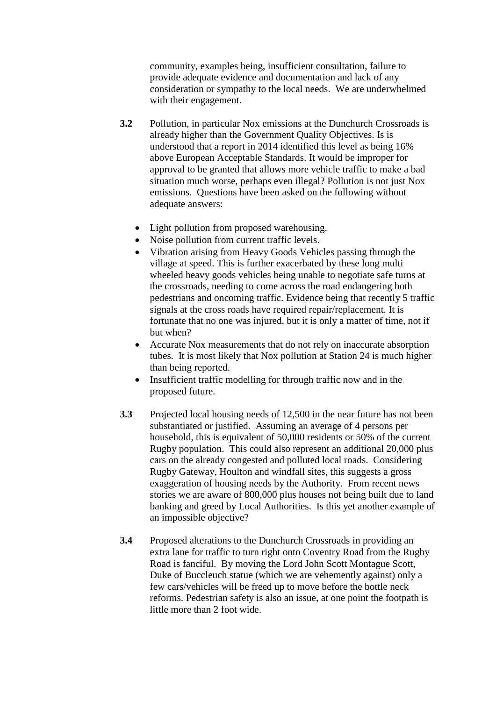community, examples being, insufficient consultation, failure to provide adequate evidence and documentation and lack of any consideration or sympathy to the local needs. We are underwhelmed with their engagement.

- **3.2** Pollution, in particular Nox emissions at the Dunchurch Crossroads is already higher than the Government Quality Objectives. Is is understood that a report in 2014 identified this level as being 16% above European Acceptable Standards. It would be improper for approval to be granted that allows more vehicle traffic to make a bad situation much worse, perhaps even illegal? Pollution is not just Nox emissions. Questions have been asked on the following without adequate answers:
	- Light pollution from proposed warehousing.
	- Noise pollution from current traffic levels.
	- Vibration arising from Heavy Goods Vehicles passing through the village at speed. This is further exacerbated by these long multi wheeled heavy goods vehicles being unable to negotiate safe turns at the crossroads, needing to come across the road endangering both pedestrians and oncoming traffic. Evidence being that recently 5 traffic signals at the cross roads have required repair/replacement. It is fortunate that no one was injured, but it is only a matter of time, not if but when?
	- Accurate Nox measurements that do not rely on inaccurate absorption tubes. It is most likely that Nox pollution at Station 24 is much higher than being reported.
	- Insufficient traffic modelling for through traffic now and in the proposed future.
- **3.3** Projected local housing needs of 12,500 in the near future has not been substantiated or justified. Assuming an average of 4 persons per household, this is equivalent of 50,000 residents or 50% of the current Rugby population. This could also represent an additional 20,000 plus cars on the already congested and polluted local roads. Considering Rugby Gateway, Houlton and windfall sites, this suggests a gross exaggeration of housing needs by the Authority. From recent news stories we are aware of 800,000 plus houses not being built due to land banking and greed by Local Authorities. Is this yet another example of an impossible objective?
- **3.4** Proposed alterations to the Dunchurch Crossroads in providing an extra lane for traffic to turn right onto Coventry Road from the Rugby Road is fanciful. By moving the Lord John Scott Montague Scott, Duke of Buccleuch statue (which we are vehemently against) only a few cars/vehicles will be freed up to move before the bottle neck reforms. Pedestrian safety is also an issue, at one point the footpath is little more than 2 foot wide.